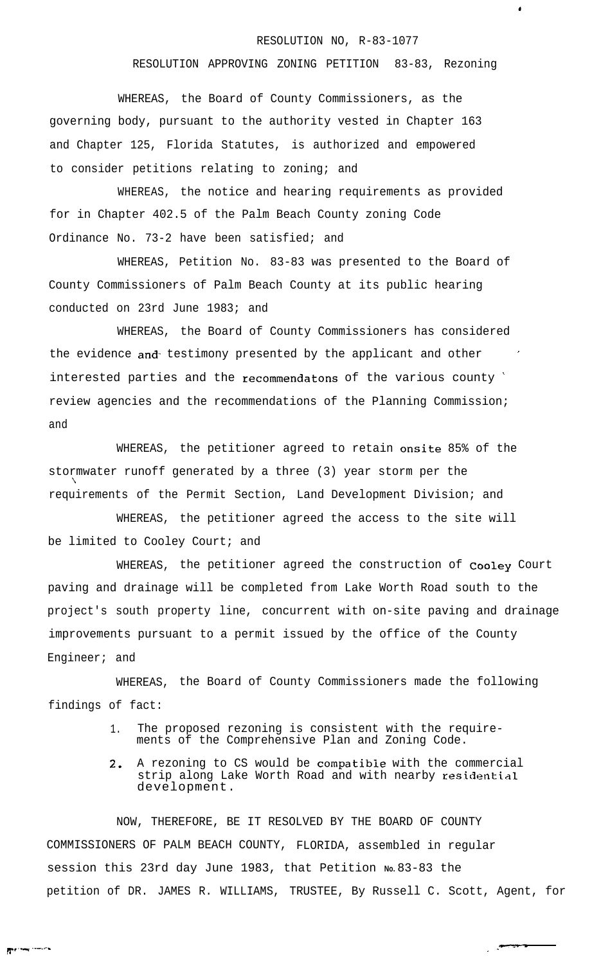## RESOLUTION NO, R-83-1077

 $\bullet$ 

RESOLUTION APPROVING ZONING PETITION 83-83, Rezoning

WHEREAS, the Board of County Commissioners, as the governing body, pursuant to the authority vested in Chapter 163 and Chapter 125, Florida Statutes, is authorized and empowered to consider petitions relating to zoning; and

WHEREAS, the notice and hearing requirements as provided for in Chapter 402.5 of the Palm Beach County zoning Code Ordinance No. 73-2 have been satisfied; and

WHEREAS, Petition No. 83-83 was presented to the Board of County Commissioners of Palm Beach County at its public hearing conducted on 23rd June 1983; and

WHEREAS, the Board of County Commissioners has considered the evidence and testimony presented by the applicant and other interested parties and the recommendatons of the various county ' review agencies and the recommendations of the Planning Commission; and

WHEREAS, the petitioner agreed to retain onsite 85% of the stormwater runoff generated by a three (3) year storm per the ? requirements of the Permit Section, Land Development Division; and

WHEREAS, the petitioner agreed the access to the site will be limited to Cooley Court; and

WHEREAS, the petitioner agreed the construction of Cooley Court paving and drainage will be completed from Lake Worth Road south to the project's south property line, concurrent with on-site paving and drainage improvements pursuant to a permit issued by the office of the County Engineer; and

WHEREAS, the Board of County Commissioners made the following findings of fact:

- 1. The proposed rezoning is consistent with the requirements of the Comprehensive Plan and Zoning Code.
- 2. A rezoning to CS would be compatibie with the commercial strip along Lake Worth Road and with nearby residential development.

NOW, THEREFORE, BE IT RESOLVED BY THE BOARD OF COUNTY COMMISSIONERS OF PALM BEACH COUNTY, FLORIDA, assembled in regular session this 23rd day June 1983, that Petition **No.** 83-83 the petition of DR. JAMES R. WILLIAMS, TRUSTEE, By Russell C. Scott, Agent, for

-

 $\mathbb{F}^{\mathfrak{c}}$  . The set of the set of the set of the set of the set of the set of the set of the set of the set of the set of the set of the set of the set of the set of the set of the set of the set of the set of the